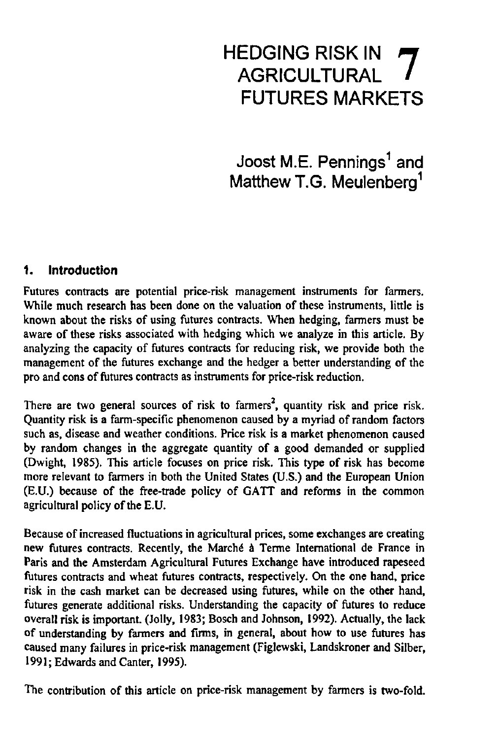# **HEDGING RISK IN AGRICULTURAL / FUTURES MARKETS**

 $\sf J$ oost M.E. Pennings<sup>1</sup> an **Matthew T.G. Meulenberg<sup>1</sup>**

#### **1. Introduction**

Futures contracts are potential price-risk management instruments for farmers. While much research has been done on the valuation of these instruments, little is known about the risks of using futures contracts. When hedging, farmers must be aware of these risks associated with hedging which we analyze in this article. By analyzing the capacity of futures contracts for reducing risk, we provide both the management of the futures exchange and the hedger a better understanding of the pro and cons of futures contracts as instruments for price-risk reduction.

There are two general sources of risk to farmers<sup>2</sup>, quantity risk and pr Quantity risk is a farm-specific phenomenon caused by a myriad of random factors such as, disease and weather conditions. Price risk is a market phenomenon caused by random changes in the aggregate quantity of a good demanded or supplied (Dwight, 1985). This article focuses on price risk. This type of risk has become more relevant to farmers in both the United States (U.S.) and the European Union (E.U.) because of the free-trade policy of GATT and reforms in the common agricultural policy of the E.U.

Because of increased fluctuations in agricultural prices, some exchanges are creating new futures contracts. Recently, the Marché à Terme International de France in Paris and the Amsterdam Agricultural Futures Exchange have introduced rapeseed futures contracts and wheat futures contracts, respectively. On the one hand, price risk in the cash market can be decreased using futures, while on the other hand, futures generate additional risks. Understanding the capacity of futures to reduce overall risk is important. (Jolly, 1983; Bosch and Johnson, 1992). Actually, the lack of understanding by farmers and firms, in general, about how to use futures has caused many failures in price-risk management (Figlewski, Landskroner and Silber, 1991; Edwards and Canter, 1995).

The contribution of this article on price-risk management by farmers is two-fold.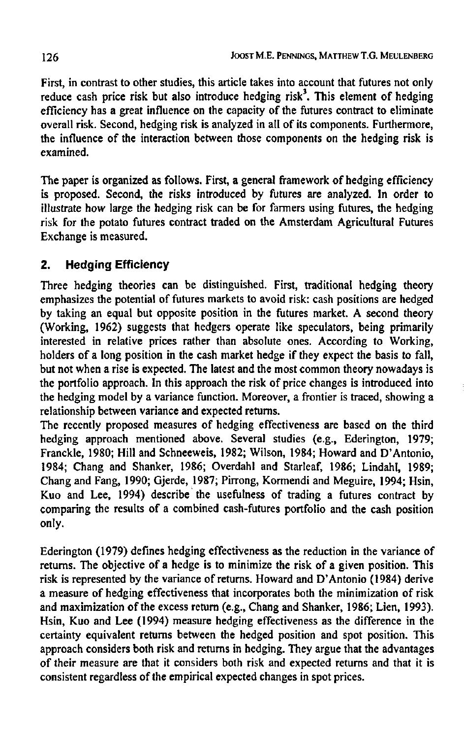First, in contrast to other studies, this article takes into account that futures not only reduce cash price risk but also introduce hedging  $risk<sup>3</sup>$ . This element of hedging efficiency has a great influence on the capacity of the futures contract to eliminate overall risk. Second, hedging risk is analyzed in all of its components. Furthermore, the influence of the interaction between those components on the hedging risk is examined.

The paper is organized as follows. First, a general framework of hedging efficiency is proposed. Second, the risks introduced by futures are analyzed. In order to illustrate how large the hedging risk can be for farmers using futures, the hedging risk for the potato futures contract traded on the Amsterdam Agricultural Futures Exchange is measured.

#### **2. Hedging Efficiency**

Three hedging theories can be distinguished. First, traditional hedging theory emphasizes the potential of futures markets to avoid risk: cash positions are hedged by taking an equal but opposite position in the futures market. A second theory (Working, 1962) suggests that hedgers operate like speculators, being primarily interested in relative prices rather than absolute ones. According to Working, holders of a long position in the cash market hedge if they expect the basis to fall, but not when a rise is expected. The latest and the most common theory nowadays is the portfolio approach. In this approach the risk of price changes is introduced into the hedging model by a variance function. Moreover, a frontier is traced, showing a relationship between variance and expected returns.

The recently proposed measures of hedging effectiveness are based on the third hedging approach mentioned above. Several studies (e.g., Ederington, 1979; Franckle, 1980; Hill and Schneeweis, 1982; Wilson, 1984; Howard and D'Antonio, 1984; Chang and Shanker, 1986; Overdahl and Starleaf, 1986; Lindahl, 1989; Chang and Fang, 1990; Gjerde, 1987; Pirrong, Kormendi and Meguire, 1994; Hsin, Kuo and Lee, 1994) describe the usefulness of trading a futures contract by comparing the results of a combined cash-futures portfolio and the cash position only.

Ederington (1979) defines hedging effectiveness as the reduction in the variance of returns. The objective of a hedge is to minimize the risk of a given position. This risk is represented by the variance of returns. Howard and D'Antonio (1984) derive a measure of hedging effectiveness that incorporates both the minimization of risk and maximization of the excess return (e.g., Chang and Shanker, 1986; Lien, 1993). Hsin, Kuo and Lee (1994) measure hedging effectiveness as the difference in the certainty equivalent returns between the hedged position and spot position. This approach considers both risk and returns in hedging. They argue that the advantages of their measure are that it considers both risk and expected returns and that it is consistent regardless of the empirical expected changes in spot prices.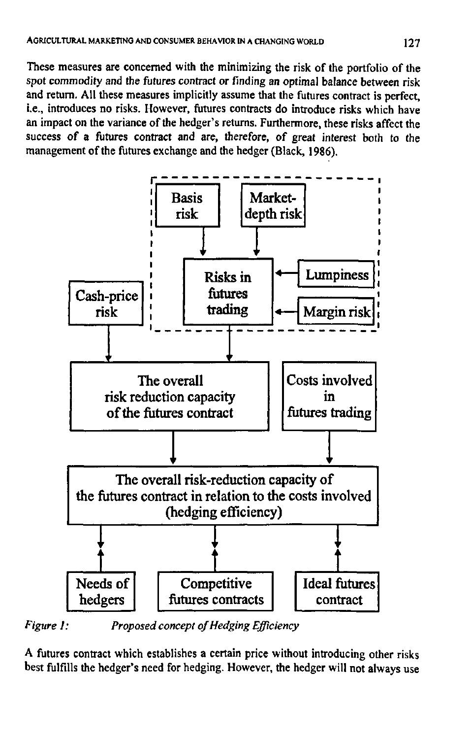These measures are concerned with the minimizing the risk of the portfolio of the spot commodity and the futures contract or finding an optimal balance between risk and return. All these measures implicitly assume that the futures contract is perfect, i.e., introduces no risks. However, futures contracts do introduce risks which have an impact on the variance of the hedger's returns. Furthermore, these risks affect the success of a futures contract and are, therefore, of great interest both to the management of the futures exchange and the hedger (Black, 1986).



*Figure 1: Proposed concept of Hedging Efficiency* 

A futures contract which establishes a certain price without introducing other risks best fulfills the hedger's need for hedging. However, the hedger will not always use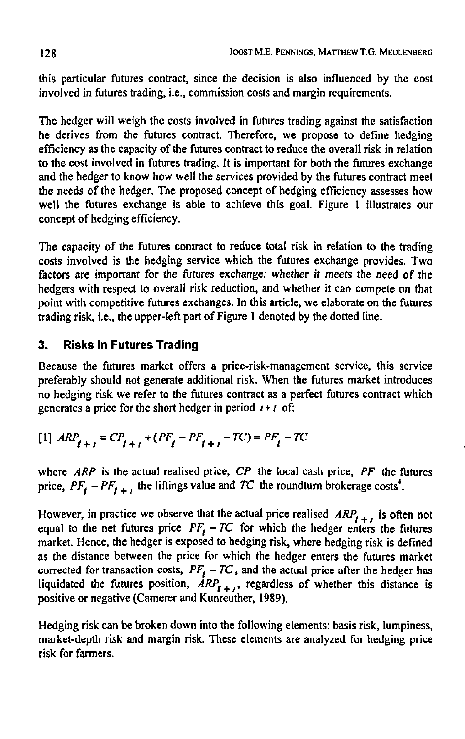this particular futures contract, since the decision is also influenced by the cost involved in futures trading, i.e., commission costs and margin requirements.

The hedger will weigh the costs involved in futures trading against the satisfaction he derives from the futures contract. Therefore, we propose to define hedging efficiency as the capacity of the futures contract to reduce the overall risk in relation to the cost involved in futures trading. It is important for both the futures exchange and the hedger to know how well the services provided by the futures contract meet the needs of the hedger. The proposed concept of hedging efficiency assesses how well the futures exchange is able to achieve this goal. Figure 1 illustrates our concept of hedging efficiency.

The capacity of the futures contract to reduce total risk in relation to the trading costs involved is the hedging service which the futures exchange provides. Two factors are important for the futures exchange: whether it meets the need of the hedgers with respect to overall risk reduction, and whether it can compete on that point with competitive futures exchanges. In this article, we elaborate on the futures trading risk, i.e., the upper-left part of Figure 1 denoted by the dotted line.

### **3. Risks in Futures Trading**

Because the futures market offers a price-risk-management service, this service preferably should not generate additional risk. When the futures market introduces no hedging risk we refer to the futures contract as a perfect futures contract which generates a price for the short hedger in period  $t+1$  of:

[1] 
$$
ARP_{t+1} = CP_{t+1} + (PF_t - PF_{t+1} - TC) = PF_t - TC
$$

where *ARP* is the actual realised price, *CP* the local cash price, *PF* the futures price,  $PF_t - PF_{t+1}$  the liftings value and TC the roundturn brokerage

However, in practice we observe that the actual price realised  $ARP_{\ell+1}$  is often not equal to the net futures price  $PF_f - TC$  for which the hedger enters the market. Hence, the hedger is exposed to hedging risk, where hedging risk is defined as the distance between the price for which the hedger enters the futures market corrected for transaction costs,  $PF<sub>f</sub> - TC$ , and the actual price after the he liquidated the futures position,  $\overline{AP}_{t+1}$ , regardless of whether this distance is positive or negative (Camerer and Kunreuther, 1989).

Hedging risk can be broken down into the following elements: basis risk, lumpiness, market-depth risk and margin risk. These elements are analyzed for hedging price risk for farmers.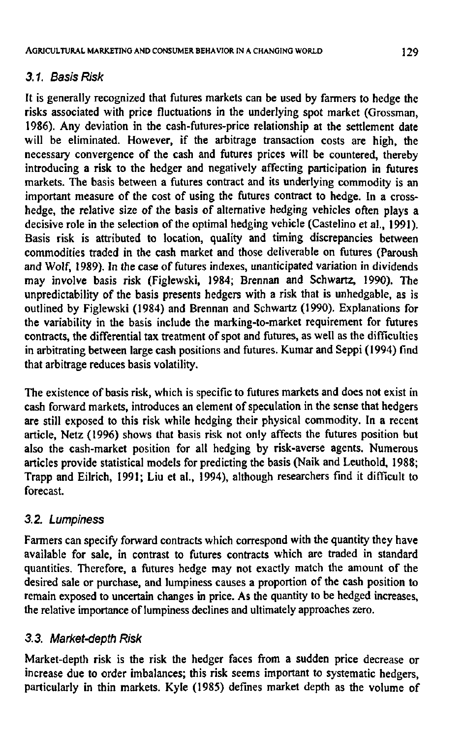### 3.1. Basis Risk

It is generally recognized that futures markets can be used by farmers to hedge the risks associated with price fluctuations in the underlying spot market (Grossman, 1986). Any deviation in the cash-futures-price relationship at the settlement date will be eliminated. However, if the arbitrage transaction costs are high, the necessary convergence of the cash and futures prices will be countered, thereby introducing a risk to the hedger and negatively affecting participation in futures markets. The basis between a futures contract and its underlying commodity is an important measure of the cost of using the futures contract to hedge. In a crosshedge, the relative size of the basis of alternative hedging vehicles often plays a decisive role in the selection of the optimal hedging vehicle (Castelino et al., 1991). Basis risk is attributed to location, quality and timing discrepancies between commodities traded in the cash market and those deliverable on futures (Paroush and Wolf, 1989). In the case of futures indexes, unanticipated variation in dividends may involve basis risk (Figlewski, 1984; Brennan and Schwartz, 1990). The unpredictability of the basis presents hedgers with a risk that is unhedgable, as is outlined by Figlewski (1984) and Brennan and Schwartz (1990). Explanations for the variability in the basis include the marking-to-market requirement for futures contracts, the differential tax treatment of spot and futures, as well as the difficulties in arbitrating between large cash positions and futures. Kumar and Seppi (1994) find that arbitrage reduces basis volatility.

The existence of basis risk, which is specific to futures markets and does not exist in cash forward markets, introduces an element of speculation in the sense that hedgers are still exposed to this risk while hedging their physical commodity. In a recent article, Netz (1996) shows that basis risk not only affects the futures position but also the cash-market position for all hedging by risk-averse agents. Numerous articles provide statistical models for predicting the basis (Naik and Leuthold, 1988; Trapp and Eilrich, 1991; Liu et al., 1994), although researchers find it difficult to forecast.

# 3.2. Lumpiness

Farmers can specify forward contracts which correspond with the quantity they have available for sale, in contrast to futures contracts which are traded in standard quantities. Therefore, a futures hedge may not exactly match the amount of the desired sale or purchase, and lumpiness causes a proportion of the cash position to remain exposed to uncertain changes in price. As the quantity to be hedged increases, the relative importance of lumpiness declines and ultimately approaches zero.

# 3.3. Market-depth Risk

Market-depth risk is the risk the hedger faces from a sudden price decrease or increase due to order imbalances; this risk seems important to systematic hedgers, particularly in thin markets. Kyle (1985) defines market depth as the volume of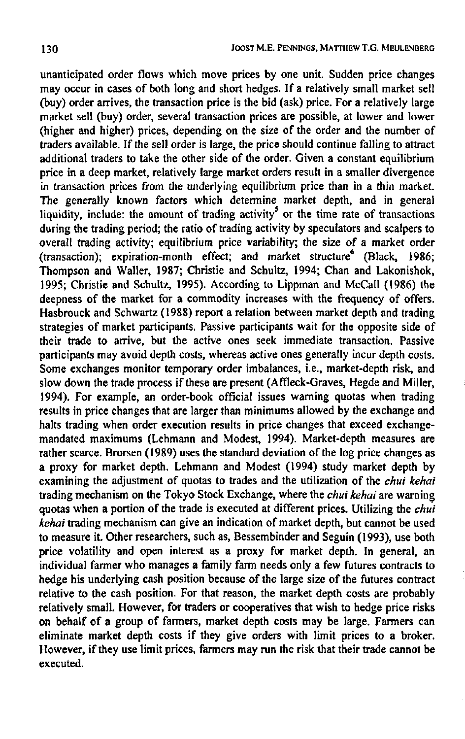unanticipated order flows which move prices by one unit. Sudden price changes may occur in cases of both long and short hedges. If a relatively small market sell (buy) order arrives, the transaction price is the bid (ask) price. For a relatively large market sell (buy) order, several transaction prices are possible, at lower and lower (higher and higher) prices, depending on the size of the order and the number of traders available. If the sell order is large, the price should continue falling to attract additional traders to take the other side of the order. Given a constant equilibrium price in a deep market, relatively large market orders result in a smaller divergence in transaction prices from the underlying equilibrium price than in a thin market. The generally known factors which determine market depth, and in general liquidity, include: the amount of trading activity<sup>3</sup> or the time rate of transactions during the trading period; the ratio of trading activity by speculators and scalpers to overall trading activity; equilibrium price variability; the size of a market order (transaction); expiration-month effect; and market structure<sup>6</sup> (Black, 1 Thompson and Waller, 1987; Christie and Schultz, 1994; Chan and Lakonishok, 1995; Christie and Schultz, 1995). According to Lippman and McCall (1986) the deepness of the market for a commodity increases with the frequency of offers. Hasbrouck and Schwartz (1988) report a relation between market depth and trading strategies of market participants. Passive participants wait for the opposite side of their trade to arrive, but the active ones seek immediate transaction. Passive participants may avoid depth costs, whereas active ones generally incur depth costs. Some exchanges monitor temporary order imbalances, i.e., market-depth risk, and slow down the trade process if these are present (Affleck-Graves, Hegde and Miller, 1994). For example, an order-book official issues warning quotas when trading results in price changes that are larger than minimums allowed by the exchange and halts trading when order execution results in price changes that exceed exchangemandated maximums (Lehmann and Modest, 1994). Market-depth measures are rather scarce. Brorsen (1989) uses the standard deviation of the log price changes as a proxy for market depth. Lehmann and Modest (1994) study market depth by examining the adjustment of quotas to trades and the utilization of the *chui kehai*  trading mechanism on the Tokyo Stock Exchange, where the *chui kehai* are warning quotas when a portion of the trade is executed at different prices. Utilizing the *chui kehai* trading mechanism can give an indication of market depth, but cannot be used to measure it. Other researchers, such as, Bessembinder and Seguin (1993), use both price volatility and open interest as a proxy for market depth. In general, an individual farmer who manages a family farm needs only a few futures contracts to hedge his underlying cash position because of the large size of the futures contract relative to the cash position. For that reason, the market depth costs are probably relatively small. However, for traders or cooperatives that wish to hedge price risks on behalf of a group of farmers, market depth costs may be large. Farmers can eliminate market depth costs if they give orders with limit prices to a broker. However, if they use limit prices, farmers may run the risk that their trade cannot be executed.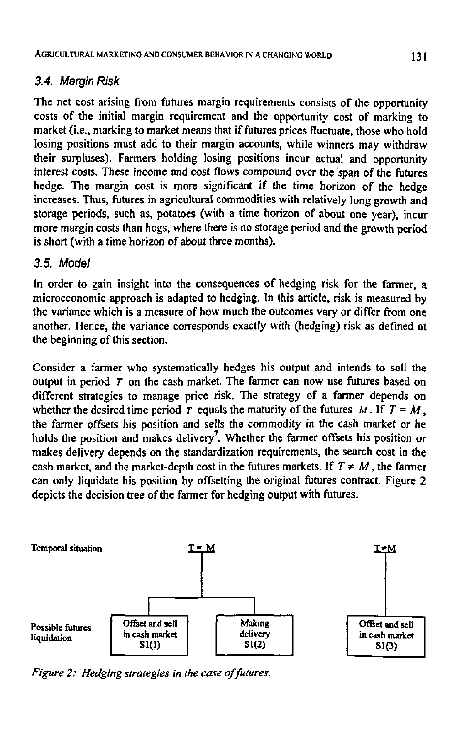#### 3.4. Margin Risk

The net cost arising from futures margin requirements consists of the opportunity costs of the initial margin requirement and the opportunity cost of marking to market (i.e., marking to market means that if futures prices fluctuate, those who hold losing positions must add to their margin accounts, while winners may withdraw their surpluses). Farmers holding losing positions incur actual and opportunity interest costs. These income and cost flows compound over the span of the futures hedge. The margin cost is more significant if the time horizon of the hedge increases. Thus, futures in agricultural commodities with relatively long growth and storage periods, such as, potatoes (with a time horizon of about one year), incur more margin costs than hogs, where there is no storage period and the growth period is short (with a time horizon of about three months).

#### 3.5. Model

In order to gain insight into the consequences of hedging risk for the farmer, a microeconomic approach is adapted to hedging. In this article, risk is measured by the variance which is a measure of how much the outcomes vary or differ from one another. Hence, the variance corresponds exactly with (hedging) risk as defined at the beginning of this section.

Consider a farmer who systematically hedges his output and intends to sell the output in period *T* on the cash market. The fanner can now use futures based on different strategies to manage price risk. The strategy of a farmer depends on whether the desired time period  $T$  equals the maturity of the futures  $M$ . If  $T = M$ , the farmer offsets his position and sells the commodity in the cash market or he holds the position and makes delivery<sup>7</sup>. Whether the farmer offsets his pos makes delivery depends on the standardization requirements, the search cost in the cash market, and the market-depth cost in the futures markets. If  $T \neq M$ , the farmer can only liquidate his position by offsetting the original futures contract. Figure 2 depicts the decision tree of the farmer for hedging output with futures.



*Figure 2: Hedging strategies in the case of futures.*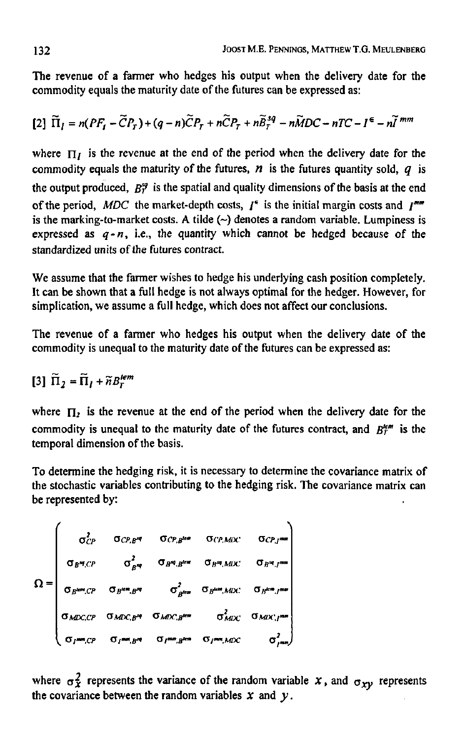The revenue of a farmer who hedges his output when the delivery date for the commodity equals the maturity date of the futures can be expressed as:

$$
[2] \ \widetilde{\Pi}_l = n(PF_l - \widetilde{C}P_r) + (q - n)\widetilde{C}P_r + n\widetilde{C}P_r + n\widetilde{B}_r^{sq} - n\widetilde{M}DC - nTC - I^{\epsilon} - n\widetilde{I}^{mm}
$$

where  $\prod_l$  is the revenue at the end of the period when the delivery date for the commodity equals the maturity of the futures,  $n$  is the futures quantity sold,  $q$  is the output produced, *B?* is the spatial and quality dimensions of the basis at the end of the period,  $MDC$  the market-depth costs,  $I^e$  is the initial margin costs is the marking-to-market costs. A tilde  $(\sim)$  denotes a random variable. Lumpiness is expressed as  $q-n$ , i.e., the quantity which cannot be hedged because of the standardized units of the futures contract.

We assume that the farmer wishes to hedge his underlying cash position completely. It can be shown that a full hedge is not always optimal for the hedger. However, for simplication, we assume a full hedge, which does not affect our conclusions.

The revenue of a farmer who hedges his output when the delivery date of the commodity is unequal to the maturity date of the futures can be expressed as:

$$
[3] \ \widetilde{\Pi}_2 = \widetilde{\Pi}_l + \widetilde{n} B^{tem}_T
$$

where  $\Pi_2$  is the revenue at the end of the period when the delivery date for the commodity is unequal to the maturity date of the futures contract, and  $B_T^{tem}$  is the temporal dimension of the basis.

To determine the hedging risk, it is necessary to determine the covariance matrix of the stochastic variables contributing to the hedging risk. The covariance matrix can be represented by:

$$
\Omega = \begin{pmatrix}\n\sigma_{CP}^2 & \sigma_{CP,B}^{2m} & \sigma_{CP,B}^{1em} & \sigma_{CP,MDC} & \sigma_{CP,J}^{1mm} \\
\sigma_{B^m,CP} & \sigma_{B^m}^2 & \sigma_{B^m,B^{1mm}} & \sigma_{B^m,MDC} & \sigma_{B^m,J^{mm}} \\
\sigma_{B^{1em},CP} & \sigma_{B^{1em},B^m} & \sigma_{B^{1em},MDC}^2 & \sigma_{B^{1em},J^{mm}} \\
\sigma_{MDC,CP} & \sigma_{MDC,B^m} & \sigma_{MDC,B^{1em}} & \sigma_{MDC}^2 & \sigma_{MDC,J^{mm}} \\
\sigma_{J^{mm},CP} & \sigma_{J^{mm},B^m} & \sigma_{J^{mm},B^{mm}} & \sigma_{J^{mm},MDC} & \sigma_{J^{mm}}^2\n\end{pmatrix}
$$

where  $\sigma_Y^2$  represents the variance of the random variable x, and  $\sigma_{XY}$  represents the covariance between the random variables *x* and *y.*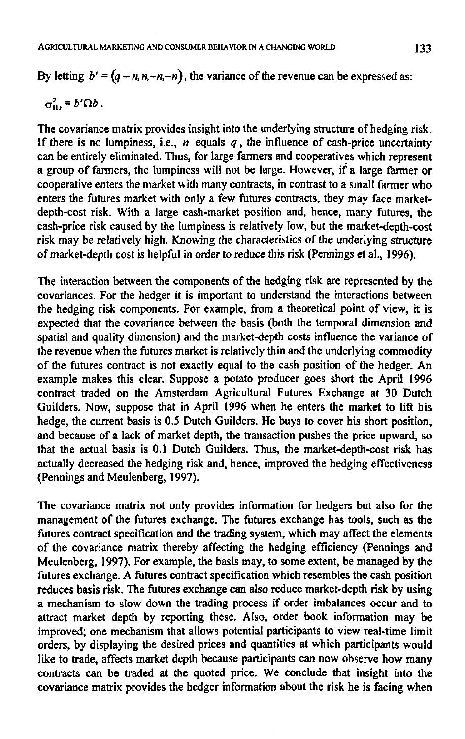By letting  $b' = (q - n, n, -n, -n)$ , the variance of the revenue can be expressed as:

$$
\sigma_{\Pi_2}^2 = b' \Omega b.
$$

The covariance matrix provides insight into the underlying structure of hedging risk. If there is no lumpiness, i.e., *n* equals *q*, the influence of cash-price uncertainty can be entirely eliminated. Thus, for large farmers and cooperatives which represent a group of farmers, the lumpiness will not be large. However, if a large farmer or cooperative enters the market with many contracts, in contrast to a small farmer who enters the futures market with only a few futures contracts, they may face marketdepth-cost risk. With a large cash-market position and, hence, many futures, the cash-price risk caused by the lumpiness is relatively low, but the market-depth-cost risk may be relatively high. Knowing the characteristics of the underlying structure of market-depth cost is helpful in order to reduce this risk (Pennings et al., 1996).

The interaction between the components of the hedging risk are represented by the covariances. For the hedger it is important to understand the interactions between the hedging risk components. For example, from a theoretical point of view, it is expected that the covariance between the basis (both the temporal dimension and spatial and quality dimension) and the market-depth costs influence the variance of the revenue when the futures market is relatively thin and the underlying commodity of the futures contract is not exactly equal to the cash position of the hedger. An example makes this clear. Suppose a potato producer goes short the April 1996 contract traded on the Amsterdam Agricultural Futures Exchange at 30 Dutch Guilders. Now, suppose that in April 1996 when he enters the market to lift his hedge, the current basis is 0.5 Dutch Guilders. He buys to cover his short position, and because of a lack of market depth, the transaction pushes the price upward, so that the actual basis is 0.1 Dutch Guilders. Thus, the market-depth-cost risk has actually decreased the hedging risk and, hence, improved the hedging effectiveness (Pennings and Meulenberg, 1997).

The covariance matrix not only provides information for hedgers but also for the management of the futures exchange. The futures exchange has tools, such as the futures contract specification and the trading system, which may affect the elements of the covariance matrix thereby affecting the hedging efficiency (Pennings and Meulenberg, 1997). For example, the basis may, to some extent, be managed by the futures exchange. A futures contract specification which resembles the cash position reduces basis risk. The futures exchange can also reduce market-depth risk by using a mechanism to slow down the trading process if order imbalances occur and to attract market depth by reporting these. Also, order book information may be improved; one mechanism that allows potential participants to view real-time limit orders, by displaying the desired prices and quantities at which participants would like to trade, affects market depth because participants can now observe how many contracts can be traded at the quoted price. We conclude that insight into the covariance matrix provides the hedger information about the risk he is facing when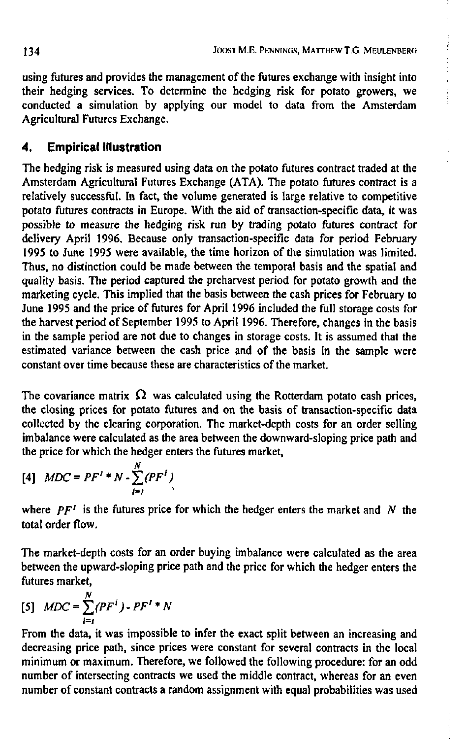$\begin{bmatrix} 1 & 1 & 1 \\ 1 & 1 & 1 \\ 1 & 1 & 1 \\ 1 & 1 & 1 \\ 1 & 1 & 1 \\ 1 & 1 & 1 \\ 1 & 1 & 1 \\ 1 & 1 & 1 \\ 1 & 1 & 1 \\ 1 & 1 & 1 \\ 1 & 1 & 1 \\ 1 & 1 & 1 \\ 1 & 1 & 1 \\ 1 & 1 & 1 \\ 1 & 1 & 1 & 1 \\ 1 & 1 & 1 & 1 \\ 1 & 1 & 1 & 1 \\ 1 & 1 & 1 & 1 \\ 1 & 1 & 1 & 1 \\ 1 & 1 & 1 & 1 & 1 \\ 1 & 1 & 1 & 1 &$ 

using futures and provides the management of the futures exchange with insight into their hedging services. To determine the hedging risk for potato growers, we conducted a simulation by applying our model to data from the Amsterdam Agricultural Futures Exchange.

#### **4. Empirical Illustration**

The hedging risk is measured using data on the potato futures contract traded at the Amsterdam Agricultural Futures Exchange (ATA). The potato futures contra relatively successful. In fact, the volume generated is large relative to comp potato futures contracts in Europe. With the aid of transaction-specific data, it was possible to measure the hedging risk run by trading potato futures contract for delivery April 1996. Because only transaction-specific data for period February 1995 to June 1995 were available, the time horizon of the simulation was limited. Thus, no distinction could be made between the temporal basis and the spatial and quality basis. The period captured the preharvest period for potato growth marketing cycle. This implied that the basis between the cash prices for Feb June 1995 and the price of futures for April 1996 included the full storage costs for the harvest period of September 1995 to April 1996. Therefore, changes in the basis in the sample period are not due to changes in storage costs. It is assume estimated variance between the cash price and of the basis in the samp constant over time because these are characteristics of the market.

The covariance matrix  $\Omega$  was calculated using the Rotterdam potato cash prices, the closing prices for potato futures and on the basis of transaction-specif collected by the clearing corporation. The market-depth costs for an order imbalance were calculated as the area between the downward-sloping price path and the price for which the hedger enters the futures market,

[4] 
$$
MDC = PF' * N - \sum_{i=1}^{N} (PF^i)
$$

where *PF'* is the futures price for which the hedger enters the market and *N* the total order flow.

The market-depth costs for an order buying imbalance were calculated as the area between the upward-sloping price path and the price for which the hedger enters the futures market,

[5] 
$$
MDC = \sum_{i=1}^{N} (PF^{i}) - PF^{i} * N
$$

From the data, it was impossible to infer the exact split between an increasing and decreasing price path, since prices were constant for several contracts in the local minimum or maximum. Therefore, we followed the following procedure: for an odd number of intersecting contracts we used the middle contract, whereas for an even number of constant contracts a random assignment with equal probabilities was used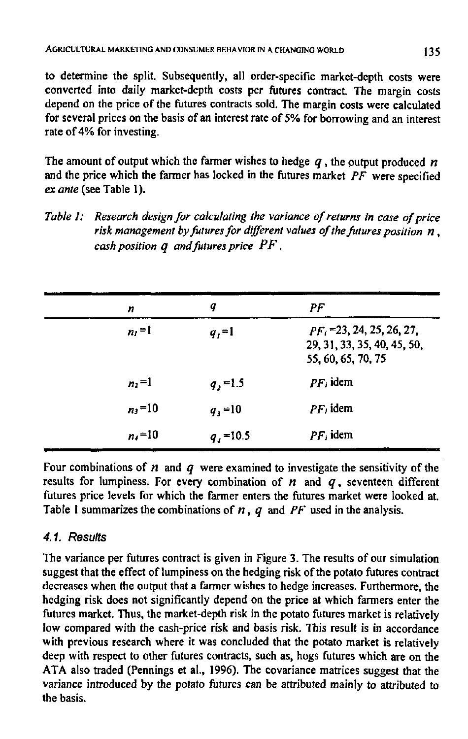to determine the split. Subsequently, all order-specific market-depth costs were converted into daily market-depth costs per futures contract. The margin costs depend on the price of the futures contracts sold. The margin costs were calculated for several prices on the basis of an interest rate of 5% for borrowing and an interest rate of 4% for investing.

The amount of output which the farmer wishes to hedge *q,* the output produced *n*  and the price which the farmer has locked in the futures market *PF* were specified *ex ante* (see Table 1).

| n               | q                      | PF                                                                               |
|-----------------|------------------------|----------------------------------------------------------------------------------|
| $n_i = 1$       | $q_{1} = 1$            | $PF_i$ =23, 24, 25, 26, 27,<br>29, 31, 33, 35, 40, 45, 50,<br>55, 60, 65, 70, 75 |
| $n_2 = 1$       | $q_{2}$ =1.5           | $PF_i$ idem                                                                      |
| $n_{\rm I}$ =10 | $q_1 = 10$             | $PF_i$ idem                                                                      |
| $n_i = 10$      | $q_{\parallel} = 10.5$ | $PF_i$ idem                                                                      |

Four combinations of *n* and *q* were examined to investigate the sensitivity of the results for lumpiness. For every combination of *n* and *q*, seventeen different futures price levels for which the farmer enters the futures market were looked at. Table 1 summarizes the combinations of *n, q* and *PF* used in the analysis.

#### 4.1. Results

The variance per futures contract is given in Figure 3. The results of our simulation suggest that the effect of lumpiness on the hedging risk of the potato futures contract decreases when the output that a farmer wishes to hedge increases. Furthermore, the hedging risk does not significantly depend on the price at which farmers enter the futures market. Thus, the market-depth risk in the potato futures market is relatively low compared with the cash-price risk and basis risk. This result is in accordance with previous research where it was concluded that the potato market is relatively deep with respect to other futures contracts, such as, hogs futures which are on the ATA also traded (Pennings et al., 1996). The covariance matrices suggest that the variance introduced by the potato futures can be attributed mainly to attributed to the basis.

*Table 1: Research design for calculating the variance of returns in case of price risk management by futures for different values of the futures position n*, *cash position q and futures price PF.*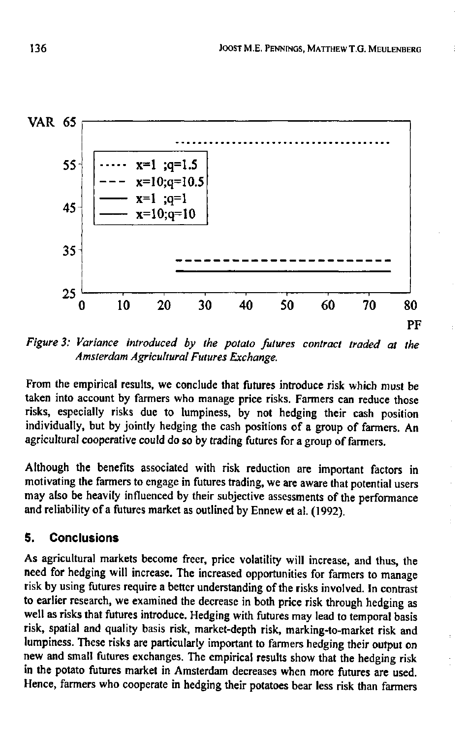

*Figure 3: Variance introduced by the potato futures contract traded at the Amsterdam Agricultural Futures Exchange.* 

From the empirical results, we conclude that futures introduce risk which must be taken into account by farmers who manage price risks. Farmers can reduce those risks, especially risks due to lumpiness, by not hedging their cash position individually, but by jointly hedging the cash positions of a group of farmers. An agricultural cooperative could do so by trading futures for a group of farmers.

Although the benefits associated with risk reduction are important factors in motivating the farmers to engage in futures trading, we are aware that potential users may also be heavily influenced by their subjective assessments of the performance and reliability of a futures market as outlined by Ennew et al. (1992).

#### **5. Conclusions**

As agricultural markets become freer, price volatility will increase, and thus, the need for hedging will increase. The increased opportunities for farmers to manage risk by using futures require a better understanding of the risks involved. In contrast to earlier research, we examined the decrease in both price risk through hedging as well as risks that futures introduce. Hedging with futures may lead to temporal basis risk, spatial and quality basis risk, market-depth risk, marking-to-market risk and lumpiness. These risks are particularly important to farmers hedging their output on new and small futures exchanges. The empirical results show that the hedging risk in the potato futures market in Amsterdam decreases when more futures are used. Hence, farmers who cooperate in hedging their potatoes bear less risk than farmers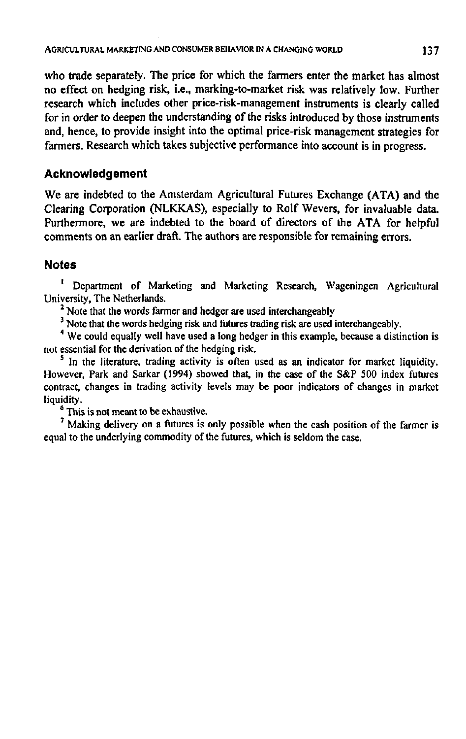who trade separately. The price for which the farmers enter the market has almost no effect on hedging risk, i.e., marking-to-market risk was relatively low. Further research which includes other price-risk-management instruments is clearly called for in order to deepen the understanding of the risks introduced by those instruments and, hence, to provide insight into the optimal price-risk management strategies for farmers. Research which takes subjective performance into account is in progress.

#### **Acknowledgement**

We are indebted to the Amsterdam Agricultural Futures Exchange (ATA) and the Clearing Corporation (NLKKAS), especially to Rolf Wevers, for invaluable data. Furthermore, we are indebted to the board of directors of the ATA for helpful comments on an earlier draft. The authors are responsible for remaining errors.

#### **Notes**

<sup>1</sup> Department of Marketing and Marketing Research, Wageningen Agricu University, The Netherlands.

<sup>2</sup> Note that the words farmer and hedger are used interchan

<sup>3</sup> Note that the words hedging risk and futures trading risk are used intercha

<sup>4</sup> We could equally well have used a long hedger in this example, because a di not essential for the derivation of the hedging risk.

<sup>5</sup> In the literature, trading activity is often used as an indicator for market However, Park and Sarkar (1994) showed that, in the case of the S&P 500 index futures contract, changes in trading activity levels may be poor indicators of changes in market liquidity.

 $<sup>6</sup>$  This is not meant to be exhaus</sup>

 $<sup>7</sup>$  Making delivery on a futures is only possible when the cash position of the</sup> equal to the underlying commodity of the futures, which is seldom the case.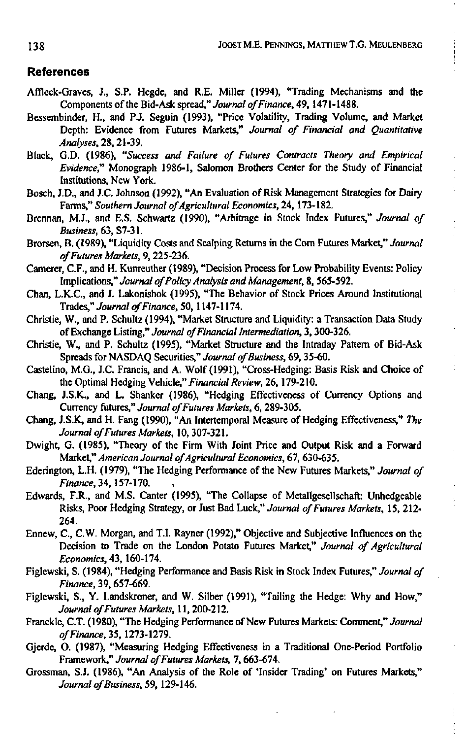#### **References**

- Affleck-Graves, J., S.P. Hegde, and R.E. Miller (1994), "Trading Mechanisms and the Components of the Bid-Ask spread," *Journal of Finance,* 49, 1471-1488.
- Bessembinder, H., and P.J. Seguin (1993), "Price Volatility, Trading Volume, and Market Depth: Evidence from Futures Markets," *Journal of Financial and Quantitative Analyses*, 28, 21-39.
- **Black, G.D. (1986),** *"Success and Failure of Futures Contracts Theory and Empirical Evidence,"* Monograph 1986-1, Salomon Brothers Center for the Study of Financial Institutions, New York.
- Bosch, J.D., and J.C. Johnson (1992), "An Evaluation of Risk Management Strategies for Dairy **Farms,"** *Southern Journal of Agricultural Economics,* **24, 173-182.**
- Brennan, M.J., and E.S. Schwartz (1990), "Arbitrage in Stock Index Futures," *Journal of Business,* 63, S7-31.
- Brorsen, B. (1989), "Liquidity Costs and Scalping Returns in the Corn Futures Market," *Journal of Futures Markets,* **9,225-236.**
- Camerer, CF., and H. Kunreuther (1989), "Decision Process for Low Probability Events: Policy **Implications,"** *Journal of Policy Analysis and Management,* **8, 565-592.**
- Chan, L.K.C., and J. Lakonishok (1995), "The Behavior of Stock Prices Around Institutional Trades," *Journal of Finance,* 50,1147-1174.
- Christie, W., and P. Schultz (1994), "Market Structure and Liquidity: a Transaction Data Study **of Exchange Listing,"** *Journal of Financial Intermediation,* **3, 300-326.**
- Christie, W., and P. Schultz (1995), "Market Structure and the Intraday Pattern of Bid-Ask Spreads for NASDAQ Securities," *Journal of Business,* 69,35-60.
- Castelino, M.G., J.C. Francis, and A. Wolf (1991), "Cross-Hedging: Basis Risk and Choice of the Optimal Hedging Vehicle," *Financial Review,* 26,179-210.
- Chang, J.S.K., and L. Shanker (1986), "Hedging Effectiveness of Currency Options and Currency futures," *Journal of Futures Markets,* 6, 289-305.
- Chang, J.S.K, and H. Fang (1990), "An Intertemporal Measure of Hedging Effectiveness," *The Journal of Futures Markets,* **10, 307-321.**
- Dwight, G. (1985), "Theory of the Firm With Joint Price and Output Risk and a Forward **Market,"** *American Journal of Agricultural Economics,* **67, 630-635.**
- Ederington, L.H. (1979), "The Hedging Performance of the New Futures Markets," *Journal of Finance,* 34,157-170.
- Edwards, F.R., and M.S. Canter (1995), "The Collapse of Metallgesellschaft: Unhedgeable Risks, Poor Hedging Strategy, or Just Bad Luck," *Journal of Futures Markets,* 15, 212- 264.
- Ennew, C, C.W. Morgan, and T.I. Rayner (1992)," Objective and Subjective Influences on the Decision to Trade on the London Potato Futures Market," *Journal of Agricultural Economics,* 43,160-174.
- Figlewski, S. (1984), "Hedging Performance and Basis Risk in Stock Index Futures," *Journal of Finance,* 39, 657-669.
- Figlewski, S., Y. Landskroner, and W. Silber (1991), "Tailing the Hedge: Why and How," *Journal of Futures Markets,* **11, 200-212.**
- Franckle, C.T. (1980), "The Hedging Performance of New Futures Markets: Comment," *Journal ofFinance,* 35,1273-1279.
- Gjerde, O. (1987), "Measuring Hedging Effectiveness in a Traditional One-Period Portfolio **Framework,"** *Journal of Futures Markets, 1,* **663-674.**
- Grossman, S.J. (1986), "An Analysis of the Role of 'Insider Trading' on Futures Markets," *Journal of Business,* **59, 129-146.**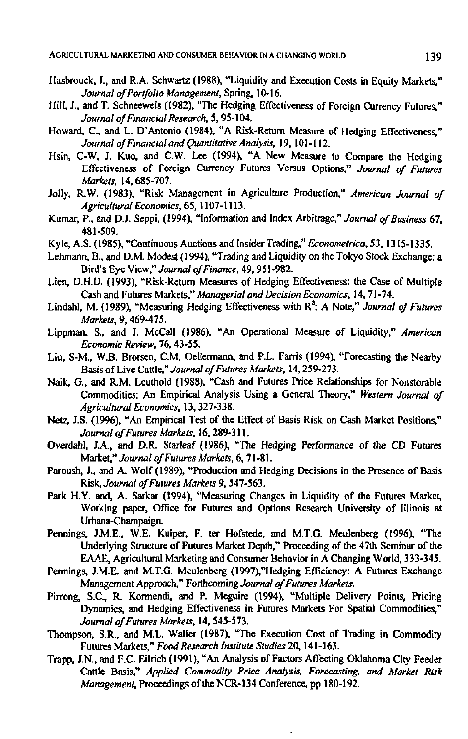- Hasbrouck, J., and R.A. Schwartz (1988), "Liquidity and Execution Costs in Equity Markets," *Journal ofPortfolio Management,* **Spring, 10-16.**
- Hill, J., and T. Schneeweis (1982), "The Hedging Effectiveness of Foreign Currency Futures," *Journal of Financial Research,* **5, 95-104.**
- Howard, C, and L. D'Antonio (1984), "A Risk-Return Measure of Hedging Effectiveness," *Journal of Financial and Quantitative Analysis,* **19, 101-112.**
- Hsin, C-W, J. Kuo, and C.W. Lee (1994), "A New Measure to Compare the Hedging Effectiveness of Foreign Currency Futures Versus Options," *Journal of Futures Markets,* 14, 685-707.
- Jolly, R.W. (1983), "Risk Management in Agriculture Production," *American Journal of Agricultural Economics,* **65,1107-1113.**
- Kumar, P., and D.J. Seppi, (1994), "Information and Index Arbitrage," *Journal of Business* 67, 481-509.
- Kyle, A.S. (1985), "Continuous Auctions and Insider Trading," *Econometrica,* 53, 1315-1335.
- Lehmann, B., and D.M. Modest (1994), "Trading and Liquidity on the Tokyo Stock Exchange: a Bird's Eye View," *Journal of Finance,* 49,951-982.
- Lien, D.H.D. (1993), "Risk-Return Measures of Hedging Effectiveness: the Case of Multiple Cash and Futures Markets," *Managerial and Decision Economics,* 14,71 -74.
- Lindahl, M. (1989), "Measuring Hedging Effectiveness with R<sup>2</sup>: A Note," Journal of *Markets,* 9, 469-475.
- Lippman, S., and J. McCall (1986), "An Operational Measure of Liquidity," *American Economic Review,* **76, 43-55.**
- Liu, S-M., W.B. Brorsen, CM. Oellermann, and P.L. Farris (1994), "Forecasting the Nearby Basis of Live Cattle," *Journal of Futures Markets,* 14,259-273.
- Naik, G., and R.M. Leuthold (1988), "Cash and Futures Price Relationships for Nonstorable Commodities: An Empirical Analysis Using a General Theory," *Western Journal of Agricultural Economics,* **13,327-338.**
- Netz, J.S. (1996), "An Empirical Test of the Effect of Basis Risk on Cash Market Positions," *Journal of Futures Markets,* **16, 289-311.**
- Overdahl, J.A., and D.R. Starleaf (1986), "The Hedging Performance of the CD Futures **Market,"** *Journal of Futures Markets,* **6,71-81.**
- Paroush, J., and A. Wolf (1989), "Production and Hedging Decisions in the Presence of Basis **Risk,** *Journal of Futures Markets* **9, 547-563.**
- Park H.Y. and, A. Sarkar (1994), "Measuring Changes in Liquidity of the Futures Market, Working paper, Office for Futures and Options Research University of Illinois at Urbana-Champaign.
- Pennings, J.M.E., W.E. Kuiper, F. ter Hofstede, and M.T.G. Meulenberg (1996), "The Underlying Structure of Futures Market Depth," Proceeding of the 47th Seminar of the EAAE, Agricultural Marketing and Consumer Behavior in A Changing World, 333-345.
- Pennings, J.M.E. and M.T.G. Meulenberg (1997),"Hedging Efficiency: A Futures Exchange Management Approach," Forthcoming *Journal of Futures Markets.*
- Pirrong, S.C., R. Kormendi, and P. Meguire (1994), "Multiple Delivery Points, Pricing Dynamics, and Hedging Effectiveness in Futures Markets For Spatial Commodities," *Journal of Futures Markets,* **14, 545-573.**
- Thompson, S.R., and M.L. Waller (1987), "The Execution Cost of Trading in Commodity **Futures Markets,"** *Food Research Institute Studies* **20,141-163.**
- Trapp, J.N., and F.C. Eilrich (1991), "An Analysis of Factors Affecting Oklahoma City Feeder **Cattle Basis,"** *Applied Commodity Price Analysis, Forecasting, and Market Risk Management, Proceedings of the NCR-134 Conference, pp 180-192.*